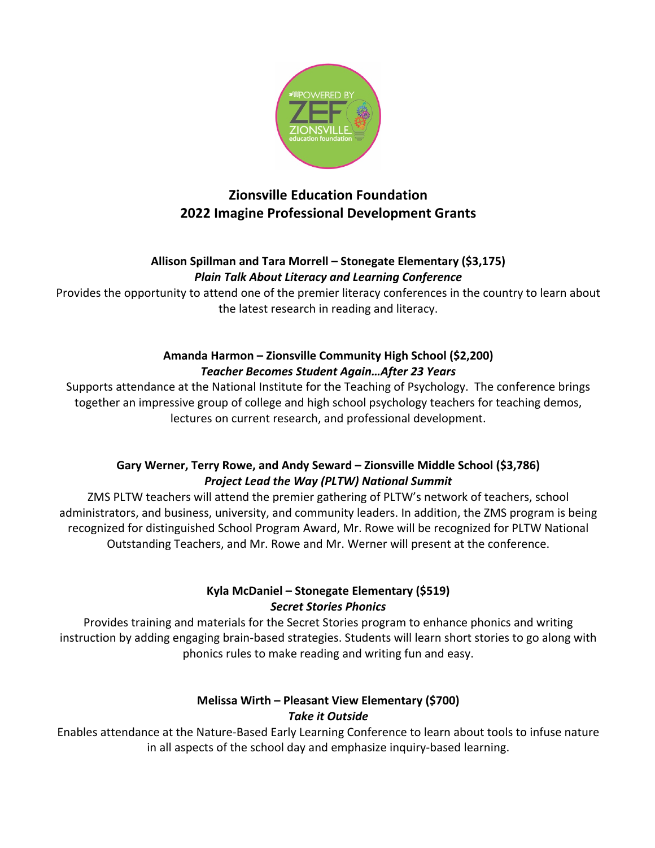

# **Zionsville Education Foundation 2022 Imagine Professional Development Grants**

#### **Allison Spillman and Tara Morrell – Stonegate Elementary (\$3,175)** *Plain Talk About Literacy and Learning Conference*

Provides the opportunity to attend one of the premier literacy conferences in the country to learn about the latest research in reading and literacy.

#### **Amanda Harmon – Zionsville Community High School (\$2,200)** *Teacher Becomes Student Again…After 23 Years*

Supports attendance at the National Institute for the Teaching of Psychology. The conference brings together an impressive group of college and high school psychology teachers for teaching demos, lectures on current research, and professional development.

# **Gary Werner, Terry Rowe, and Andy Seward – Zionsville Middle School (\$3,786)** *Project Lead the Way (PLTW) National Summit*

ZMS PLTW teachers will attend the premier gathering of PLTW's network of teachers, school administrators, and business, university, and community leaders. In addition, the ZMS program is being recognized for distinguished School Program Award, Mr. Rowe will be recognized for PLTW National Outstanding Teachers, and Mr. Rowe and Mr. Werner will present at the conference.

# **Kyla McDaniel – Stonegate Elementary (\$519)** *Secret Stories Phonics*

Provides training and materials for the Secret Stories program to enhance phonics and writing instruction by adding engaging brain-based strategies. Students will learn short stories to go along with phonics rules to make reading and writing fun and easy.

# **Melissa Wirth – Pleasant View Elementary (\$700)** *Take it Outside*

Enables attendance at the Nature-Based Early Learning Conference to learn about tools to infuse nature in all aspects of the school day and emphasize inquiry-based learning.